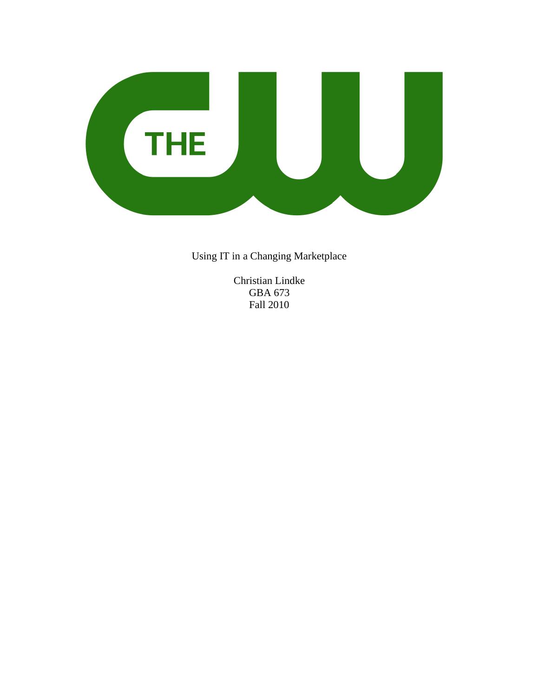

Using IT in a Changing Marketplace

Christian Lindke GBA 673 Fall 2010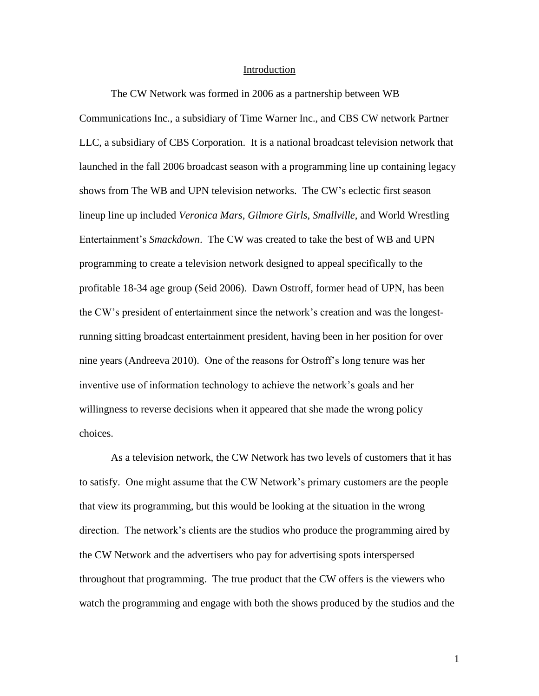#### **Introduction**

The CW Network was formed in 2006 as a partnership between WB Communications Inc., a subsidiary of Time Warner Inc., and CBS CW network Partner LLC, a subsidiary of CBS Corporation. It is a national broadcast television network that launched in the fall 2006 broadcast season with a programming line up containing legacy shows from The WB and UPN television networks. The CW's eclectic first season lineup line up included *Veronica Mars*, *Gilmore Girls*, *Smallville*, and World Wrestling Entertainment's *Smackdown*. The CW was created to take the best of WB and UPN programming to create a television network designed to appeal specifically to the profitable 18-34 age group (Seid 2006). Dawn Ostroff, former head of UPN, has been the CW's president of entertainment since the network's creation and was the longestrunning sitting broadcast entertainment president, having been in her position for over nine years (Andreeva 2010). One of the reasons for Ostroff's long tenure was her inventive use of information technology to achieve the network's goals and her willingness to reverse decisions when it appeared that she made the wrong policy choices.

As a television network, the CW Network has two levels of customers that it has to satisfy. One might assume that the CW Network's primary customers are the people that view its programming, but this would be looking at the situation in the wrong direction. The network's clients are the studios who produce the programming aired by the CW Network and the advertisers who pay for advertising spots interspersed throughout that programming. The true product that the CW offers is the viewers who watch the programming and engage with both the shows produced by the studios and the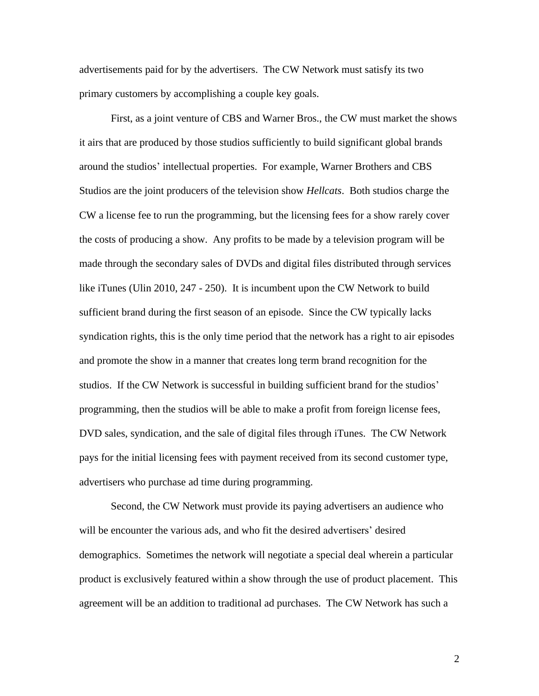advertisements paid for by the advertisers. The CW Network must satisfy its two primary customers by accomplishing a couple key goals.

First, as a joint venture of CBS and Warner Bros., the CW must market the shows it airs that are produced by those studios sufficiently to build significant global brands around the studios' intellectual properties. For example, Warner Brothers and CBS Studios are the joint producers of the television show *Hellcats*. Both studios charge the CW a license fee to run the programming, but the licensing fees for a show rarely cover the costs of producing a show. Any profits to be made by a television program will be made through the secondary sales of DVDs and digital files distributed through services like iTunes (Ulin 2010, 247 - 250). It is incumbent upon the CW Network to build sufficient brand during the first season of an episode. Since the CW typically lacks syndication rights, this is the only time period that the network has a right to air episodes and promote the show in a manner that creates long term brand recognition for the studios. If the CW Network is successful in building sufficient brand for the studios' programming, then the studios will be able to make a profit from foreign license fees, DVD sales, syndication, and the sale of digital files through iTunes. The CW Network pays for the initial licensing fees with payment received from its second customer type, advertisers who purchase ad time during programming.

Second, the CW Network must provide its paying advertisers an audience who will be encounter the various ads, and who fit the desired advertisers' desired demographics. Sometimes the network will negotiate a special deal wherein a particular product is exclusively featured within a show through the use of product placement. This agreement will be an addition to traditional ad purchases. The CW Network has such a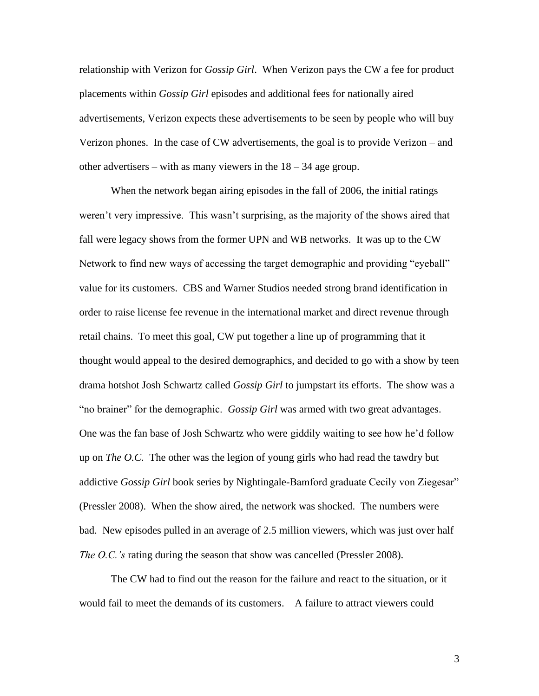relationship with Verizon for *Gossip Girl*. When Verizon pays the CW a fee for product placements within *Gossip Girl* episodes and additional fees for nationally aired advertisements, Verizon expects these advertisements to be seen by people who will buy Verizon phones. In the case of CW advertisements, the goal is to provide Verizon – and other advertisers – with as many viewers in the  $18 - 34$  age group.

When the network began airing episodes in the fall of 2006, the initial ratings weren't very impressive. This wasn't surprising, as the majority of the shows aired that fall were legacy shows from the former UPN and WB networks. It was up to the CW Network to find new ways of accessing the target demographic and providing "eyeball" value for its customers. CBS and Warner Studios needed strong brand identification in order to raise license fee revenue in the international market and direct revenue through retail chains. To meet this goal, CW put together a line up of programming that it thought would appeal to the desired demographics, and decided to go with a show by teen drama hotshot Josh Schwartz called *Gossip Girl* to jumpstart its efforts. The show was a "no brainer" for the demographic. *Gossip Girl* was armed with two great advantages. One was the fan base of Josh Schwartz who were giddily waiting to see how he'd follow up on *The O.C.* The other was the legion of young girls who had read the tawdry but addictive *Gossip Girl* book series by Nightingale-Bamford graduate Cecily von Ziegesar" (Pressler 2008). When the show aired, the network was shocked. The numbers were bad. New episodes pulled in an average of 2.5 million viewers, which was just over half *The O.C.'s* rating during the season that show was cancelled (Pressler 2008).

The CW had to find out the reason for the failure and react to the situation, or it would fail to meet the demands of its customers. A failure to attract viewers could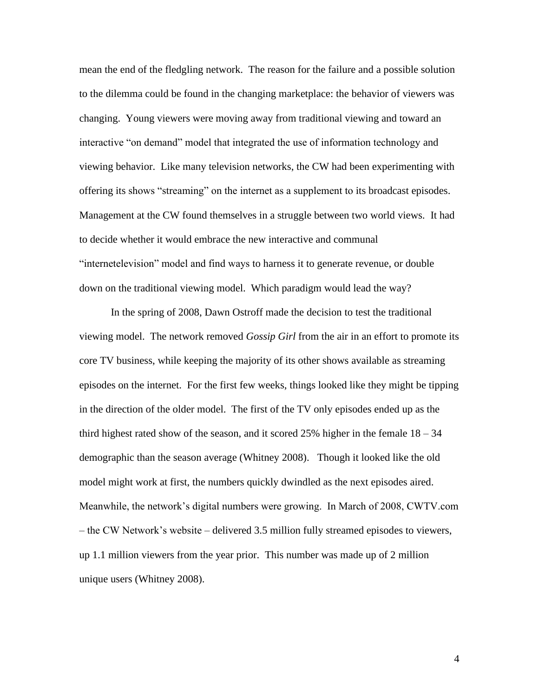mean the end of the fledgling network. The reason for the failure and a possible solution to the dilemma could be found in the changing marketplace: the behavior of viewers was changing. Young viewers were moving away from traditional viewing and toward an interactive "on demand" model that integrated the use of information technology and viewing behavior. Like many television networks, the CW had been experimenting with offering its shows "streaming" on the internet as a supplement to its broadcast episodes. Management at the CW found themselves in a struggle between two world views. It had to decide whether it would embrace the new interactive and communal "internetelevision" model and find ways to harness it to generate revenue, or double down on the traditional viewing model. Which paradigm would lead the way?

In the spring of 2008, Dawn Ostroff made the decision to test the traditional viewing model. The network removed *Gossip Girl* from the air in an effort to promote its core TV business, while keeping the majority of its other shows available as streaming episodes on the internet. For the first few weeks, things looked like they might be tipping in the direction of the older model. The first of the TV only episodes ended up as the third highest rated show of the season, and it scored 25% higher in the female  $18 - 34$ demographic than the season average (Whitney 2008). Though it looked like the old model might work at first, the numbers quickly dwindled as the next episodes aired. Meanwhile, the network's digital numbers were growing. In March of 2008, CWTV.com – the CW Network's website – delivered 3.5 million fully streamed episodes to viewers, up 1.1 million viewers from the year prior. This number was made up of 2 million unique users (Whitney 2008).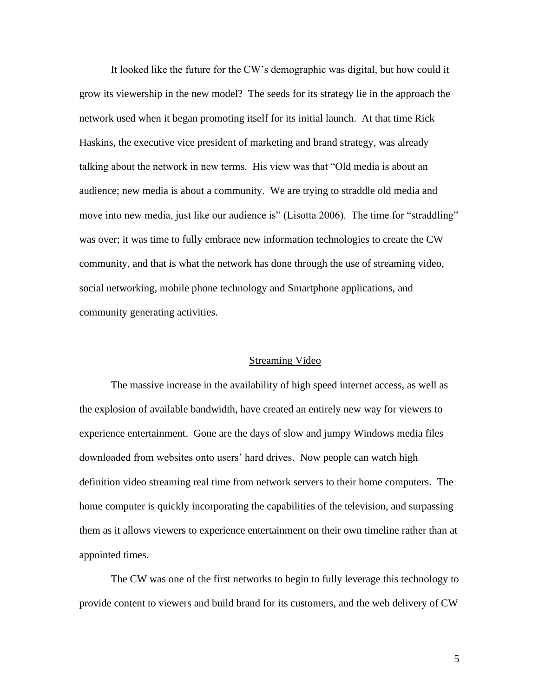It looked like the future for the CW's demographic was digital, but how could it grow its viewership in the new model? The seeds for its strategy lie in the approach the network used when it began promoting itself for its initial launch. At that time Rick Haskins, the executive vice president of marketing and brand strategy, was already talking about the network in new terms. His view was that "Old media is about an audience; new media is about a community. We are trying to straddle old media and move into new media, just like our audience is" (Lisotta 2006). The time for "straddling" was over; it was time to fully embrace new information technologies to create the CW community, and that is what the network has done through the use of streaming video, social networking, mobile phone technology and Smartphone applications, and community generating activities.

## Streaming Video

The massive increase in the availability of high speed internet access, as well as the explosion of available bandwidth, have created an entirely new way for viewers to experience entertainment. Gone are the days of slow and jumpy Windows media files downloaded from websites onto users' hard drives. Now people can watch high definition video streaming real time from network servers to their home computers. The home computer is quickly incorporating the capabilities of the television, and surpassing them as it allows viewers to experience entertainment on their own timeline rather than at appointed times.

The CW was one of the first networks to begin to fully leverage this technology to provide content to viewers and build brand for its customers, and the web delivery of CW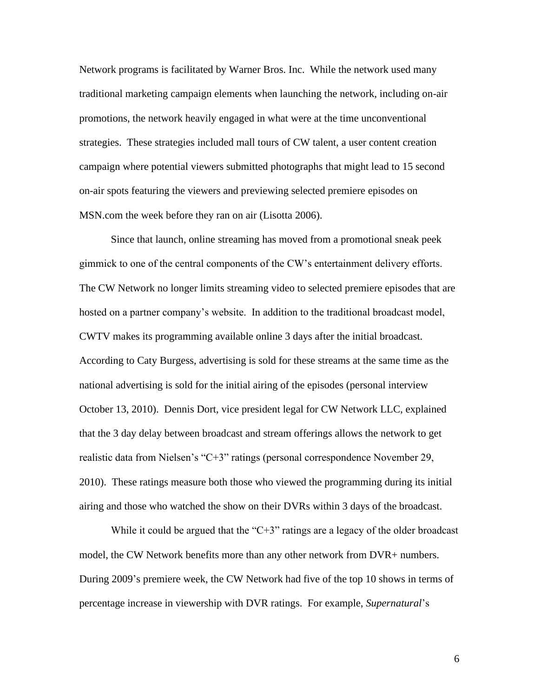Network programs is facilitated by Warner Bros. Inc. While the network used many traditional marketing campaign elements when launching the network, including on-air promotions, the network heavily engaged in what were at the time unconventional strategies. These strategies included mall tours of CW talent, a user content creation campaign where potential viewers submitted photographs that might lead to 15 second on-air spots featuring the viewers and previewing selected premiere episodes on MSN.com the week before they ran on air (Lisotta 2006).

Since that launch, online streaming has moved from a promotional sneak peek gimmick to one of the central components of the CW's entertainment delivery efforts. The CW Network no longer limits streaming video to selected premiere episodes that are hosted on a partner company's website. In addition to the traditional broadcast model, CWTV makes its programming available online 3 days after the initial broadcast. According to Caty Burgess, advertising is sold for these streams at the same time as the national advertising is sold for the initial airing of the episodes (personal interview October 13, 2010). Dennis Dort, vice president legal for CW Network LLC, explained that the 3 day delay between broadcast and stream offerings allows the network to get realistic data from Nielsen's "C+3" ratings (personal correspondence November 29, 2010). These ratings measure both those who viewed the programming during its initial airing and those who watched the show on their DVRs within 3 days of the broadcast.

While it could be argued that the "C+3" ratings are a legacy of the older broadcast model, the CW Network benefits more than any other network from DVR+ numbers. During 2009's premiere week, the CW Network had five of the top 10 shows in terms of percentage increase in viewership with DVR ratings. For example, *Supernatural*'s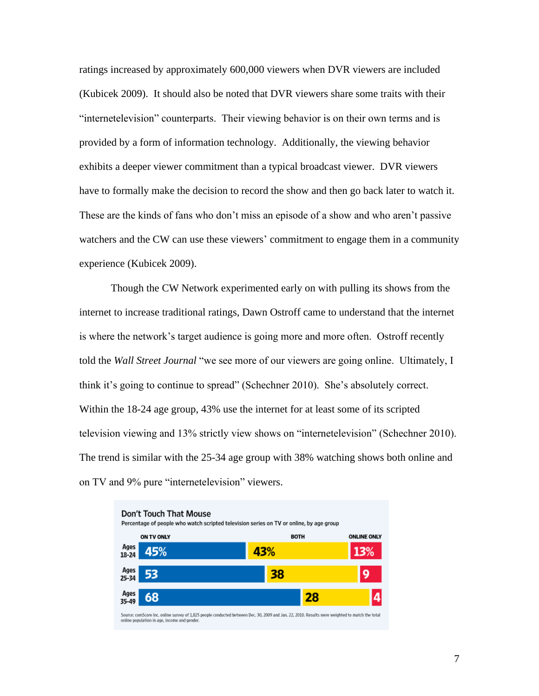ratings increased by approximately 600,000 viewers when DVR viewers are included (Kubicek 2009). It should also be noted that DVR viewers share some traits with their "internetelevision" counterparts. Their viewing behavior is on their own terms and is provided by a form of information technology. Additionally, the viewing behavior exhibits a deeper viewer commitment than a typical broadcast viewer. DVR viewers have to formally make the decision to record the show and then go back later to watch it. These are the kinds of fans who don't miss an episode of a show and who aren't passive watchers and the CW can use these viewers' commitment to engage them in a community experience (Kubicek 2009).

Though the CW Network experimented early on with pulling its shows from the internet to increase traditional ratings, Dawn Ostroff came to understand that the internet is where the network's target audience is going more and more often. Ostroff recently told the *Wall Street Journal* "we see more of our viewers are going online. Ultimately, I think it's going to continue to spread" (Schechner 2010). She's absolutely correct. Within the 18-24 age group, 43% use the internet for at least some of its scripted television viewing and 13% strictly view shows on "internetelevision" (Schechner 2010). The trend is similar with the 25-34 age group with 38% watching shows both online and on TV and 9% pure "internetelevision" viewers.

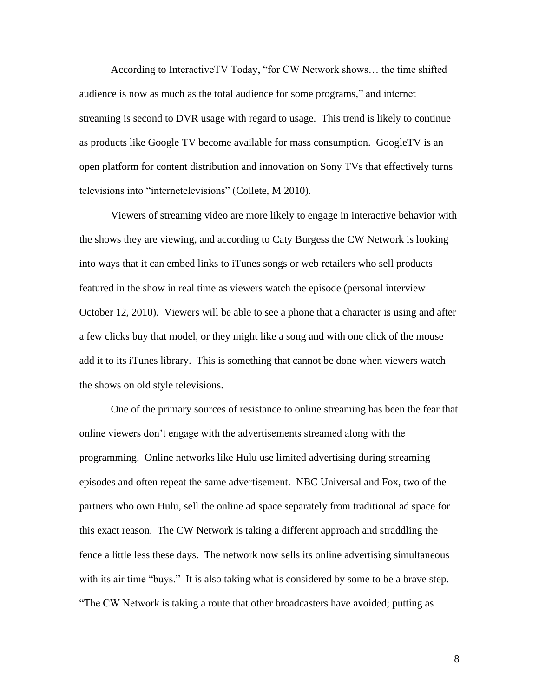According to InteractiveTV Today, "for CW Network shows… the time shifted audience is now as much as the total audience for some programs," and internet streaming is second to DVR usage with regard to usage. This trend is likely to continue as products like Google TV become available for mass consumption. GoogleTV is an open platform for content distribution and innovation on Sony TVs that effectively turns televisions into "internetelevisions" (Collete, M 2010).

Viewers of streaming video are more likely to engage in interactive behavior with the shows they are viewing, and according to Caty Burgess the CW Network is looking into ways that it can embed links to iTunes songs or web retailers who sell products featured in the show in real time as viewers watch the episode (personal interview October 12, 2010). Viewers will be able to see a phone that a character is using and after a few clicks buy that model, or they might like a song and with one click of the mouse add it to its iTunes library. This is something that cannot be done when viewers watch the shows on old style televisions.

One of the primary sources of resistance to online streaming has been the fear that online viewers don't engage with the advertisements streamed along with the programming. Online networks like Hulu use limited advertising during streaming episodes and often repeat the same advertisement. NBC Universal and Fox, two of the partners who own Hulu, sell the online ad space separately from traditional ad space for this exact reason. The CW Network is taking a different approach and straddling the fence a little less these days. The network now sells its online advertising simultaneous with its air time "buys." It is also taking what is considered by some to be a brave step. "The CW Network is taking a route that other broadcasters have avoided; putting as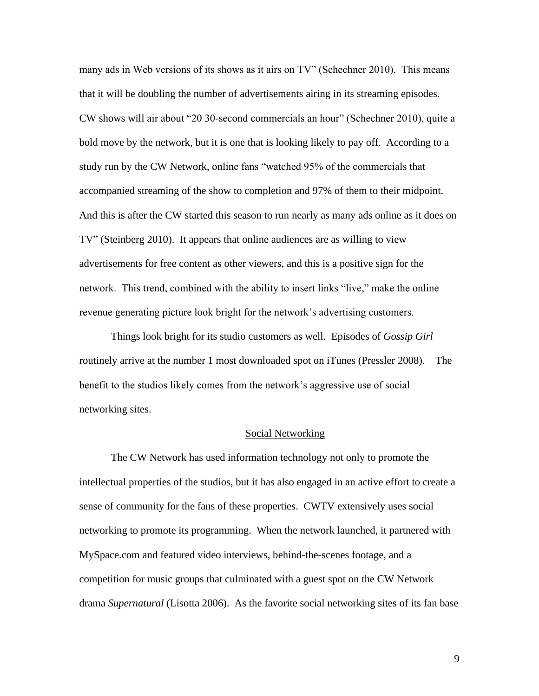many ads in Web versions of its shows as it airs on TV" (Schechner 2010). This means that it will be doubling the number of advertisements airing in its streaming episodes. CW shows will air about "20 30-second commercials an hour" (Schechner 2010), quite a bold move by the network, but it is one that is looking likely to pay off. According to a study run by the CW Network, online fans "watched 95% of the commercials that accompanied streaming of the show to completion and 97% of them to their midpoint. And this is after the CW started this season to run nearly as many ads online as it does on TV" (Steinberg 2010). It appears that online audiences are as willing to view advertisements for free content as other viewers, and this is a positive sign for the network. This trend, combined with the ability to insert links "live," make the online revenue generating picture look bright for the network's advertising customers.

Things look bright for its studio customers as well. Episodes of *Gossip Girl* routinely arrive at the number 1 most downloaded spot on iTunes (Pressler 2008). The benefit to the studios likely comes from the network's aggressive use of social networking sites.

### Social Networking

The CW Network has used information technology not only to promote the intellectual properties of the studios, but it has also engaged in an active effort to create a sense of community for the fans of these properties. CWTV extensively uses social networking to promote its programming. When the network launched, it partnered with MySpace.com and featured video interviews, behind-the-scenes footage, and a competition for music groups that culminated with a guest spot on the CW Network drama *Supernatural* (Lisotta 2006). As the favorite social networking sites of its fan base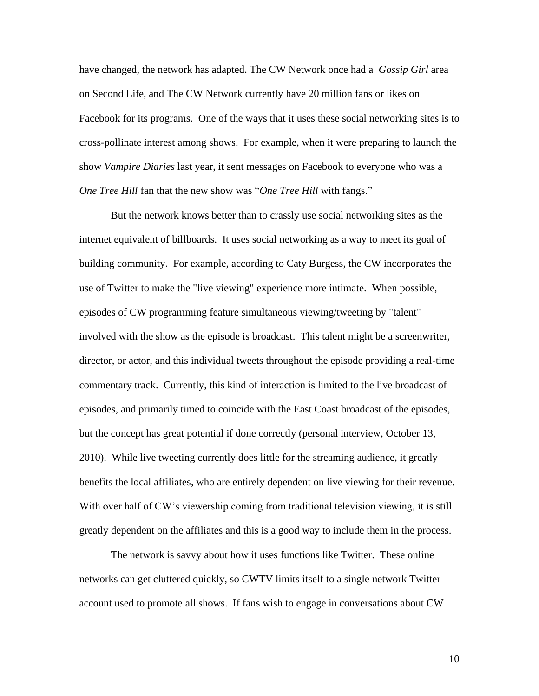have changed, the network has adapted. The CW Network once had a *Gossip Girl* area on Second Life, and The CW Network currently have 20 million fans or likes on Facebook for its programs. One of the ways that it uses these social networking sites is to cross-pollinate interest among shows. For example, when it were preparing to launch the show *Vampire Diaries* last year, it sent messages on Facebook to everyone who was a *One Tree Hill* fan that the new show was "*One Tree Hill* with fangs."

But the network knows better than to crassly use social networking sites as the internet equivalent of billboards. It uses social networking as a way to meet its goal of building community. For example, according to Caty Burgess, the CW incorporates the use of Twitter to make the "live viewing" experience more intimate. When possible, episodes of CW programming feature simultaneous viewing/tweeting by "talent" involved with the show as the episode is broadcast. This talent might be a screenwriter, director, or actor, and this individual tweets throughout the episode providing a real-time commentary track. Currently, this kind of interaction is limited to the live broadcast of episodes, and primarily timed to coincide with the East Coast broadcast of the episodes, but the concept has great potential if done correctly (personal interview, October 13, 2010). While live tweeting currently does little for the streaming audience, it greatly benefits the local affiliates, who are entirely dependent on live viewing for their revenue. With over half of CW's viewership coming from traditional television viewing, it is still greatly dependent on the affiliates and this is a good way to include them in the process.

The network is savvy about how it uses functions like Twitter. These online networks can get cluttered quickly, so CWTV limits itself to a single network Twitter account used to promote all shows. If fans wish to engage in conversations about CW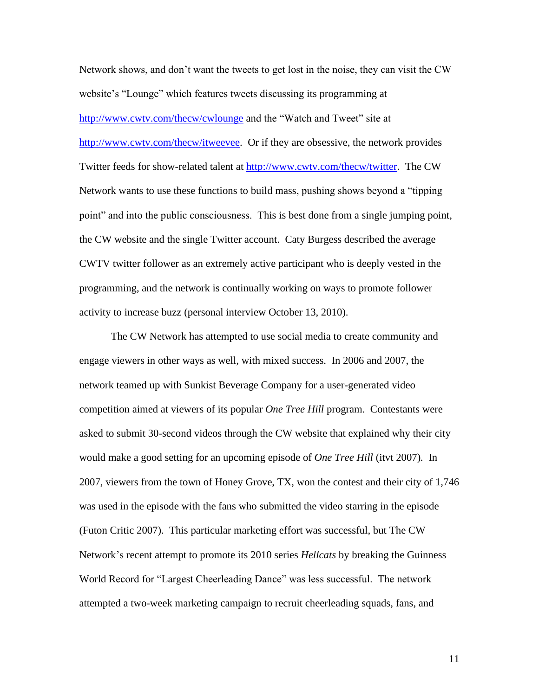Network shows, and don't want the tweets to get lost in the noise, they can visit the CW website's "Lounge" which features tweets discussing its programming at <http://www.cwtv.com/thecw/cwlounge> and the "Watch and Tweet" site at [http://www.cwtv.com/thecw/itweevee.](http://www.cwtv.com/thecw/itweevee) Or if they are obsessive, the network provides Twitter feeds for show-related talent at [http://www.cwtv.com/thecw/twitter.](http://www.cwtv.com/thecw/twitter) The CW Network wants to use these functions to build mass, pushing shows beyond a "tipping point" and into the public consciousness. This is best done from a single jumping point, the CW website and the single Twitter account. Caty Burgess described the average CWTV twitter follower as an extremely active participant who is deeply vested in the programming, and the network is continually working on ways to promote follower activity to increase buzz (personal interview October 13, 2010).

The CW Network has attempted to use social media to create community and engage viewers in other ways as well, with mixed success. In 2006 and 2007, the network teamed up with Sunkist Beverage Company for a user-generated video competition aimed at viewers of its popular *One Tree Hill* program. Contestants were asked to submit 30-second videos through the CW website that explained why their city would make a good setting for an upcoming episode of *One Tree Hill* (itvt 2007)*.* In 2007, viewers from the town of Honey Grove, TX, won the contest and their city of 1,746 was used in the episode with the fans who submitted the video starring in the episode (Futon Critic 2007). This particular marketing effort was successful, but The CW Network's recent attempt to promote its 2010 series *Hellcats* by breaking the Guinness World Record for "Largest Cheerleading Dance" was less successful. The network attempted a two-week marketing campaign to recruit cheerleading squads, fans, and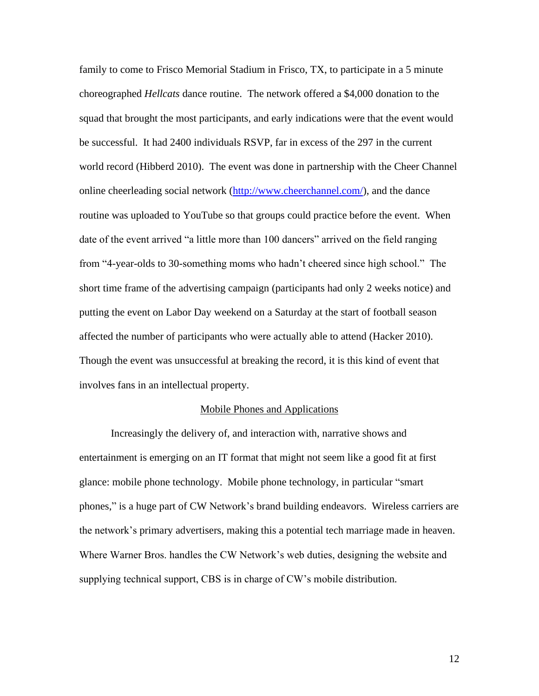family to come to Frisco Memorial Stadium in Frisco, TX, to participate in a 5 minute choreographed *Hellcats* dance routine. The network offered a \$4,000 donation to the squad that brought the most participants, and early indications were that the event would be successful. It had 2400 individuals RSVP, far in excess of the 297 in the current world record (Hibberd 2010). The event was done in partnership with the Cheer Channel online cheerleading social network [\(http://www.cheerchannel.com/\)](http://www.cheerchannel.com/), and the dance routine was uploaded to YouTube so that groups could practice before the event. When date of the event arrived "a little more than 100 dancers" arrived on the field ranging from "4-year-olds to 30-something moms who hadn't cheered since high school." The short time frame of the advertising campaign (participants had only 2 weeks notice) and putting the event on Labor Day weekend on a Saturday at the start of football season affected the number of participants who were actually able to attend (Hacker 2010). Though the event was unsuccessful at breaking the record, it is this kind of event that involves fans in an intellectual property.

#### Mobile Phones and Applications

Increasingly the delivery of, and interaction with, narrative shows and entertainment is emerging on an IT format that might not seem like a good fit at first glance: mobile phone technology. Mobile phone technology, in particular "smart phones," is a huge part of CW Network's brand building endeavors. Wireless carriers are the network's primary advertisers, making this a potential tech marriage made in heaven. Where Warner Bros. handles the CW Network's web duties, designing the website and supplying technical support, CBS is in charge of CW's mobile distribution.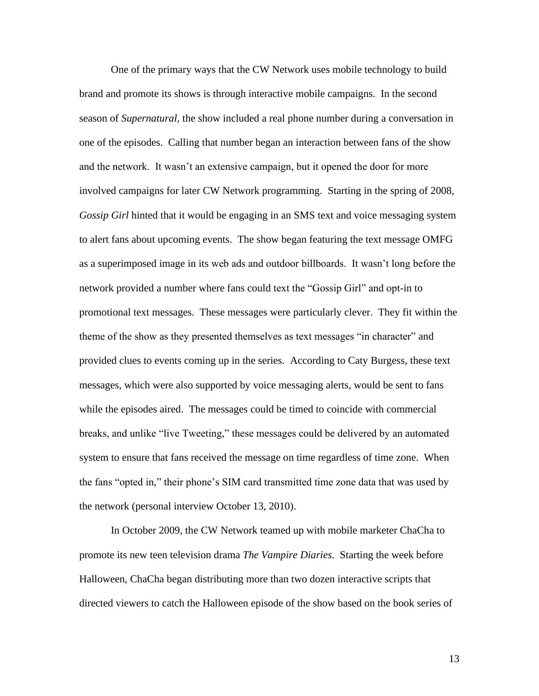One of the primary ways that the CW Network uses mobile technology to build brand and promote its shows is through interactive mobile campaigns. In the second season of *Supernatural,* the show included a real phone number during a conversation in one of the episodes. Calling that number began an interaction between fans of the show and the network. It wasn't an extensive campaign, but it opened the door for more involved campaigns for later CW Network programming. Starting in the spring of 2008, *Gossip Girl* hinted that it would be engaging in an SMS text and voice messaging system to alert fans about upcoming events. The show began featuring the text message OMFG as a superimposed image in its web ads and outdoor billboards. It wasn't long before the network provided a number where fans could text the "Gossip Girl" and opt-in to promotional text messages. These messages were particularly clever. They fit within the theme of the show as they presented themselves as text messages "in character" and provided clues to events coming up in the series. According to Caty Burgess, these text messages, which were also supported by voice messaging alerts, would be sent to fans while the episodes aired. The messages could be timed to coincide with commercial breaks, and unlike "live Tweeting," these messages could be delivered by an automated system to ensure that fans received the message on time regardless of time zone. When the fans "opted in," their phone's SIM card transmitted time zone data that was used by the network (personal interview October 13, 2010).

In October 2009, the CW Network teamed up with mobile marketer ChaCha to promote its new teen television drama *The Vampire Diaries*. Starting the week before Halloween, ChaCha began distributing more than two dozen interactive scripts that directed viewers to catch the Halloween episode of the show based on the book series of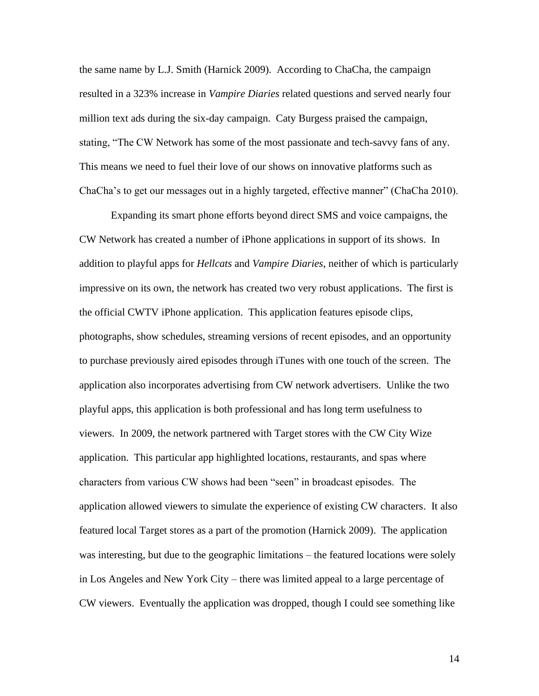the same name by L.J. Smith (Harnick 2009). According to ChaCha, the campaign resulted in a 323% increase in *Vampire Diaries* related questions and served nearly four million text ads during the six-day campaign. Caty Burgess praised the campaign, stating, "The CW Network has some of the most passionate and tech-savvy fans of any. This means we need to fuel their love of our shows on innovative platforms such as ChaCha's to get our messages out in a highly targeted, effective manner" (ChaCha 2010).

Expanding its smart phone efforts beyond direct SMS and voice campaigns, the CW Network has created a number of iPhone applications in support of its shows. In addition to playful apps for *Hellcats* and *Vampire Diaries*, neither of which is particularly impressive on its own, the network has created two very robust applications. The first is the official CWTV iPhone application. This application features episode clips, photographs, show schedules, streaming versions of recent episodes, and an opportunity to purchase previously aired episodes through iTunes with one touch of the screen. The application also incorporates advertising from CW network advertisers. Unlike the two playful apps, this application is both professional and has long term usefulness to viewers. In 2009, the network partnered with Target stores with the CW City Wize application. This particular app highlighted locations, restaurants, and spas where characters from various CW shows had been "seen" in broadcast episodes. The application allowed viewers to simulate the experience of existing CW characters. It also featured local Target stores as a part of the promotion (Harnick 2009). The application was interesting, but due to the geographic limitations – the featured locations were solely in Los Angeles and New York City – there was limited appeal to a large percentage of CW viewers. Eventually the application was dropped, though I could see something like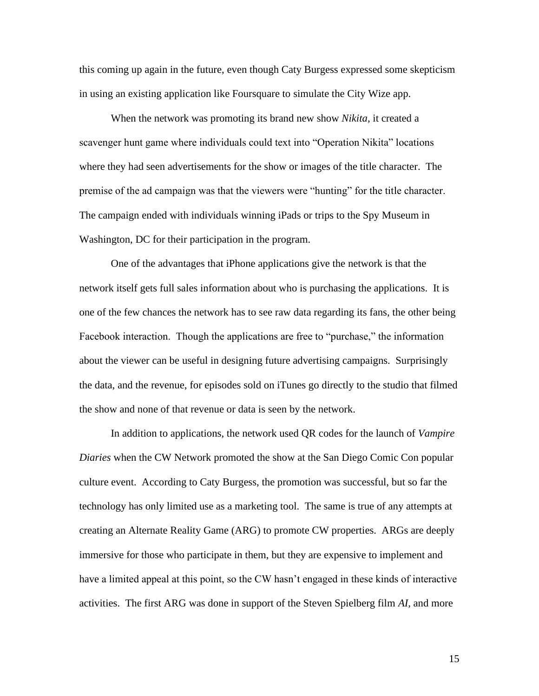this coming up again in the future, even though Caty Burgess expressed some skepticism in using an existing application like Foursquare to simulate the City Wize app.

When the network was promoting its brand new show *Nikita,* it created a scavenger hunt game where individuals could text into "Operation Nikita" locations where they had seen advertisements for the show or images of the title character. The premise of the ad campaign was that the viewers were "hunting" for the title character. The campaign ended with individuals winning iPads or trips to the Spy Museum in Washington, DC for their participation in the program.

One of the advantages that iPhone applications give the network is that the network itself gets full sales information about who is purchasing the applications. It is one of the few chances the network has to see raw data regarding its fans, the other being Facebook interaction. Though the applications are free to "purchase," the information about the viewer can be useful in designing future advertising campaigns. Surprisingly the data, and the revenue, for episodes sold on iTunes go directly to the studio that filmed the show and none of that revenue or data is seen by the network.

In addition to applications, the network used QR codes for the launch of *Vampire Diaries* when the CW Network promoted the show at the San Diego Comic Con popular culture event. According to Caty Burgess, the promotion was successful, but so far the technology has only limited use as a marketing tool. The same is true of any attempts at creating an Alternate Reality Game (ARG) to promote CW properties. ARGs are deeply immersive for those who participate in them, but they are expensive to implement and have a limited appeal at this point, so the CW hasn't engaged in these kinds of interactive activities. The first ARG was done in support of the Steven Spielberg film *AI*, and more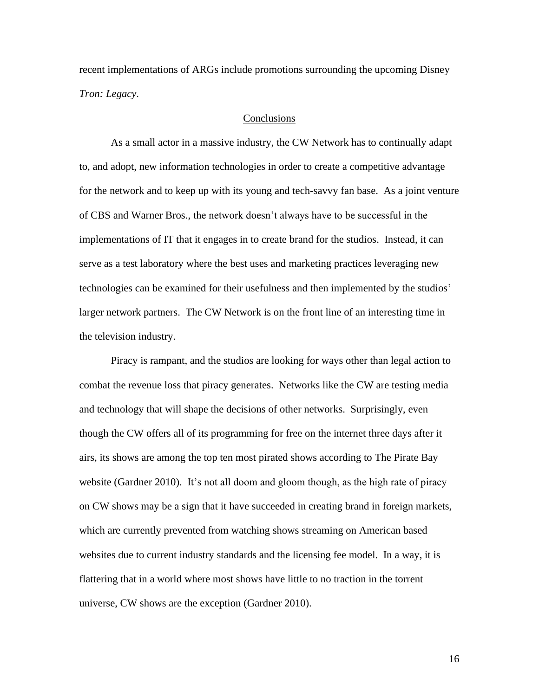recent implementations of ARGs include promotions surrounding the upcoming Disney *Tron: Legacy*.

## **Conclusions**

As a small actor in a massive industry, the CW Network has to continually adapt to, and adopt, new information technologies in order to create a competitive advantage for the network and to keep up with its young and tech-savvy fan base. As a joint venture of CBS and Warner Bros., the network doesn't always have to be successful in the implementations of IT that it engages in to create brand for the studios. Instead, it can serve as a test laboratory where the best uses and marketing practices leveraging new technologies can be examined for their usefulness and then implemented by the studios' larger network partners. The CW Network is on the front line of an interesting time in the television industry.

Piracy is rampant, and the studios are looking for ways other than legal action to combat the revenue loss that piracy generates. Networks like the CW are testing media and technology that will shape the decisions of other networks. Surprisingly, even though the CW offers all of its programming for free on the internet three days after it airs, its shows are among the top ten most pirated shows according to The Pirate Bay website (Gardner 2010). It's not all doom and gloom though, as the high rate of piracy on CW shows may be a sign that it have succeeded in creating brand in foreign markets, which are currently prevented from watching shows streaming on American based websites due to current industry standards and the licensing fee model. In a way, it is flattering that in a world where most shows have little to no traction in the torrent universe, CW shows are the exception (Gardner 2010).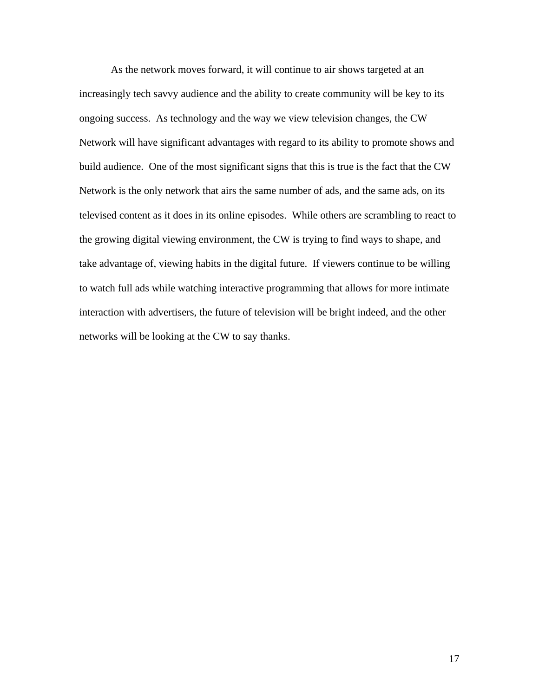As the network moves forward, it will continue to air shows targeted at an increasingly tech savvy audience and the ability to create community will be key to its ongoing success. As technology and the way we view television changes, the CW Network will have significant advantages with regard to its ability to promote shows and build audience. One of the most significant signs that this is true is the fact that the CW Network is the only network that airs the same number of ads, and the same ads, on its televised content as it does in its online episodes. While others are scrambling to react to the growing digital viewing environment, the CW is trying to find ways to shape, and take advantage of, viewing habits in the digital future. If viewers continue to be willing to watch full ads while watching interactive programming that allows for more intimate interaction with advertisers, the future of television will be bright indeed, and the other networks will be looking at the CW to say thanks.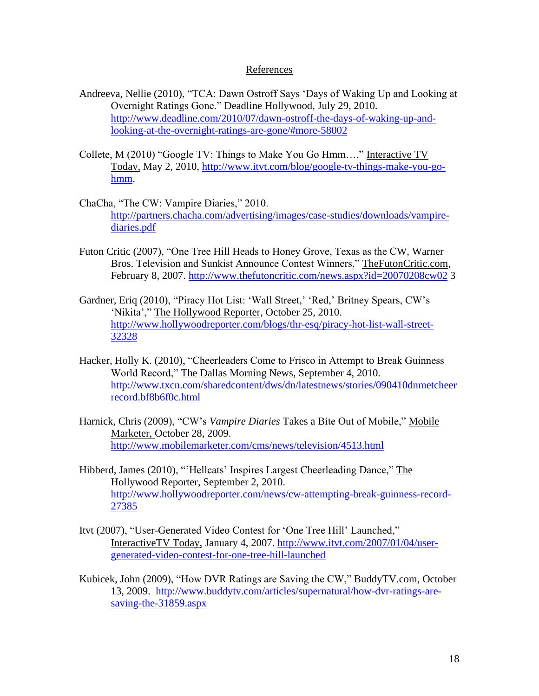# References

- Andreeva, Nellie (2010), "TCA: Dawn Ostroff Says 'Days of Waking Up and Looking at Overnight Ratings Gone." Deadline Hollywood, July 29, 2010. [http://www.deadline.com/2010/07/dawn-ostroff-the-days-of-waking-up-and](http://www.deadline.com/2010/07/dawn-ostroff-the-days-of-waking-up-and-looking-at-the-overnight-ratings-are-gone/#more-58002)[looking-at-the-overnight-ratings-are-gone/#more-58002](http://www.deadline.com/2010/07/dawn-ostroff-the-days-of-waking-up-and-looking-at-the-overnight-ratings-are-gone/#more-58002)
- Collete, M (2010) "Google TV: Things to Make You Go Hmm…," Interactive TV Today, May 2, 2010, [http://www.itvt.com/blog/google-tv-things-make-you-go](http://www.itvt.com/blog/google-tv-things-make-you-go-hmm)[hmm.](http://www.itvt.com/blog/google-tv-things-make-you-go-hmm)
- ChaCha, "The CW: Vampire Diaries," 2010. [http://partners.chacha.com/advertising/images/case-studies/downloads/vampire](http://partners.chacha.com/advertising/images/case-studies/downloads/vampire-diaries.pdf)[diaries.pdf](http://partners.chacha.com/advertising/images/case-studies/downloads/vampire-diaries.pdf)
- Futon Critic (2007), "One Tree Hill Heads to Honey Grove, Texas as the CW, Warner Bros. Television and Sunkist Announce Contest Winners," TheFutonCritic.com, February 8, 2007.<http://www.thefutoncritic.com/news.aspx?id=20070208cw02> 3
- Gardner, Eriq (2010), "Piracy Hot List: 'Wall Street,' 'Red,' Britney Spears, CW's 'Nikita'," The Hollywood Reporter, October 25, 2010. [http://www.hollywoodreporter.com/blogs/thr-esq/piracy-hot-list-wall-street-](http://www.hollywoodreporter.com/blogs/thr-esq/piracy-hot-list-wall-street-32328)[32328](http://www.hollywoodreporter.com/blogs/thr-esq/piracy-hot-list-wall-street-32328)
- Hacker, Holly K. (2010), "Cheerleaders Come to Frisco in Attempt to Break Guinness World Record," The Dallas Morning News, September 4, 2010. [http://www.txcn.com/sharedcontent/dws/dn/latestnews/stories/090410dnmetcheer](http://www.txcn.com/sharedcontent/dws/dn/latestnews/stories/090410dnmetcheerrecord.bf8b6f0c.html) [record.bf8b6f0c.html](http://www.txcn.com/sharedcontent/dws/dn/latestnews/stories/090410dnmetcheerrecord.bf8b6f0c.html)
- Harnick, Chris (2009), "CW's *Vampire Diaries* Takes a Bite Out of Mobile," Mobile Marketer, October 28, 2009. <http://www.mobilemarketer.com/cms/news/television/4513.html>
- Hibberd, James (2010), "'Hellcats' Inspires Largest Cheerleading Dance," The Hollywood Reporter, September 2, 2010. [http://www.hollywoodreporter.com/news/cw-attempting-break-guinness-record-](http://www.hollywoodreporter.com/news/cw-attempting-break-guinness-record-27385)[27385](http://www.hollywoodreporter.com/news/cw-attempting-break-guinness-record-27385)
- Itvt (2007), "User-Generated Video Contest for 'One Tree Hill' Launched," InteractiveTV Today, January 4, 2007. [http://www.itvt.com/2007/01/04/user](http://www.itvt.com/2007/01/04/user-generated-video-contest-for-one-tree-hill-launched)[generated-video-contest-for-one-tree-hill-launched](http://www.itvt.com/2007/01/04/user-generated-video-contest-for-one-tree-hill-launched)
- Kubicek, John (2009), "How DVR Ratings are Saving the CW," BuddyTV.com, October 13, 2009. [http://www.buddytv.com/articles/supernatural/how-dvr-ratings-are](http://www.buddytv.com/articles/supernatural/how-dvr-ratings-are-saving-the-31859.aspx)[saving-the-31859.aspx](http://www.buddytv.com/articles/supernatural/how-dvr-ratings-are-saving-the-31859.aspx)